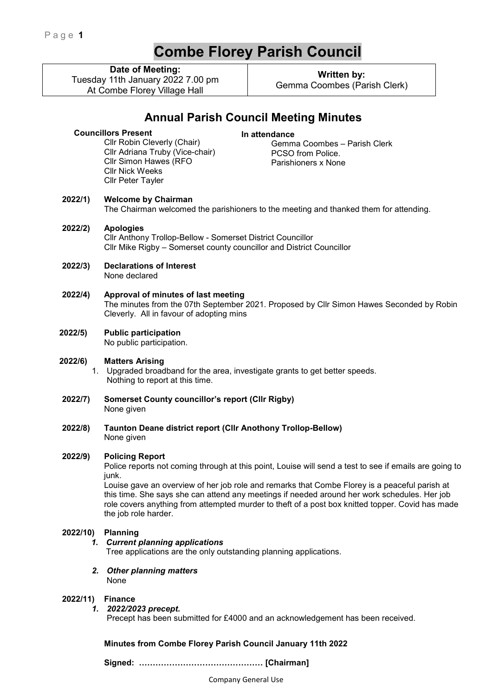# **Combe Florey Parish Council**

**Date of Meeting:**

Tuesday 11th January 2022 7.00 pm At Combe Florey Village Hall

> Cllr Robin Cleverly (Chair) Cllr Adriana Truby (Vice-chair) Cllr Simon Hawes (RFO

**Written by:**  Gemma Coombes (Parish Clerk)

# **Annual Parish Council Meeting Minutes**

# **In attendance**

 Gemma Coombes – Parish Clerk PCSO from Police. Parishioners x None

**2022/1) Welcome by Chairman** 

Cllr Nick Weeks Cllr Peter Tayler

**Councillors Present** 

The Chairman welcomed the parishioners to the meeting and thanked them for attending.

### **2022/2) Apologies**  Cllr Anthony Trollop-Bellow - Somerset District Councillor Cllr Mike Rigby – Somerset county councillor and District Councillor

- **2022/3) Declarations of Interest**  None declared
- **2022/4) Approval of minutes of last meeting**  The minutes from the 07th September 2021. Proposed by Cllr Simon Hawes Seconded by Robin Cleverly. All in favour of adopting mins
- **2022/5) Public participation**  No public participation.
- **2022/6) Matters Arising**

1. Upgraded broadband for the area, investigate grants to get better speeds. Nothing to report at this time.

- **2022/7) Somerset County councillor's report (Cllr Rigby)**  None given
- **2022/8) Taunton Deane district report (Cllr Anothony Trollop-Bellow)**  None given

# **2022/9) Policing Report**

Police reports not coming through at this point, Louise will send a test to see if emails are going to junk.

Louise gave an overview of her job role and remarks that Combe Florey is a peaceful parish at this time. She says she can attend any meetings if needed around her work schedules. Her job role covers anything from attempted murder to theft of a post box knitted topper. Covid has made the job role harder.

# **2022/10) Planning**

#### *1. Current planning applications*

Tree applications are the only outstanding planning applications.

*2. Other planning matters*  None

#### **2022/11) Finance**

*1. 2022/2023 precept.* 

Precept has been submitted for £4000 and an acknowledgement has been received.

**Minutes from Combe Florey Parish Council January 11th 2022** 

 **Signed: ……………………………………… [Chairman]** 

Company General Use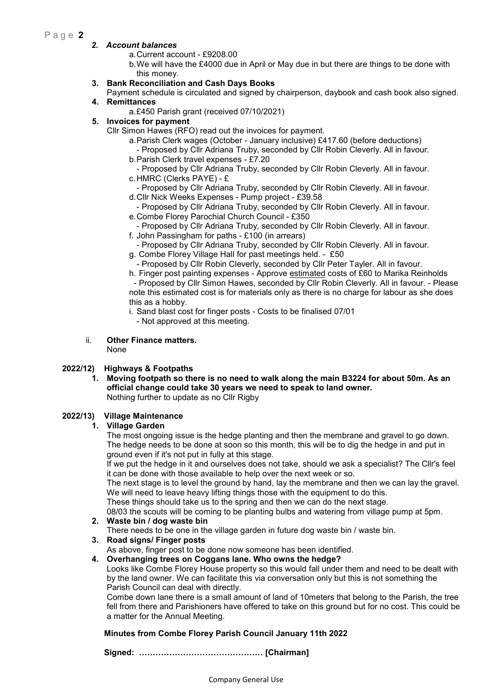# Page 2

#### *2. Account balances*

- a. Current account £9208.00
- b. We will have the £4000 due in April or May due in but there are things to be done with this money.

#### **3. Bank Reconciliation and Cash Days Books**

- Payment schedule is circulated and signed by chairperson, daybook and cash book also signed. **4. Remittances** 
	- a. £450 Parish grant (received 07/10/2021)
- **5. Invoices for payment** 
	- Cllr Simon Hawes (RFO) read out the invoices for payment.
		- a. Parish Clerk wages (October January inclusive) £417.60 (before deductions)
			- Proposed by Cllr Adriana Truby, seconded by Cllr Robin Cleverly. All in favour.
		- b. Parish Clerk travel expenses £7.20
		- Proposed by Cllr Adriana Truby, seconded by Cllr Robin Cleverly. All in favour. c. HMRC (Clerks PAYE) - £
		- Proposed by Cllr Adriana Truby, seconded by Cllr Robin Cleverly. All in favour.
		- d. Cllr Nick Weeks Expenses Pump project £39.58
		- Proposed by Cllr Adriana Truby, seconded by Cllr Robin Cleverly. All in favour. e. Combe Florey Parochial Church Council - £350
		- Proposed by Cllr Adriana Truby, seconded by Cllr Robin Cleverly. All in favour. f. John Passingham for paths - £100 (in arrears)
		- Proposed by Cllr Adriana Truby, seconded by Cllr Robin Cleverly. All in favour.
		- g. Combe Florey Village Hall for past meetings held. £50
		- Proposed by Cllr Robin Cleverly, seconded by Cllr Peter Tayler. All in favour.

h. Finger post painting expenses - Approve estimated costs of £60 to Marika Reinholds - Proposed by Cllr Simon Hawes, seconded by Cllr Robin Cleverly. All in favour. - Please note this estimated cost is for materials only as there is no charge for labour as she does this as a hobby.

- i. Sand blast cost for finger posts Costs to be finalised 07/01
- Not approved at this meeting.
- ii. **Other Finance matters.** 
	- None

#### **2022/12) Highways & Footpaths**

**1. Moving footpath so there is no need to walk along the main B3224 for about 50m. As an official change could take 30 years we need to speak to land owner.**  Nothing further to update as no Cllr Rigby

# **2022/13) Village Maintenance**

#### **1. Village Garden**

The most ongoing issue is the hedge planting and then the membrane and gravel to go down. The hedge needs to be done at soon so this month, this will be to dig the hedge in and put in ground even if it's not put in fully at this stage.

If we put the hedge in it and ourselves does not take, should we ask a specialist? The Cllr's feel it can be done with those available to help over the next week or so.

The next stage is to level the ground by hand, lay the membrane and then we can lay the gravel. We will need to leave heavy lifting things those with the equipment to do this.

These things should take us to the spring and then we can do the next stage.

08/03 the scouts will be coming to be planting bulbs and watering from village pump at 5pm.

# **2. Waste bin / dog waste bin**

There needs to be one in the village garden in future dog waste bin / waste bin.

#### **3. Road signs/ Finger posts**

As above, finger post to be done now someone has been identified.

#### **4. Overhanging trees on Coggans lane. Who owns the hedge?**

Looks like Combe Florey House property so this would fall under them and need to be dealt with by the land owner. We can facilitate this via conversation only but this is not something the Parish Council can deal with directly.

Combe down lane there is a small amount of land of 10meters that belong to the Parish, the tree fell from there and Parishioners have offered to take on this ground but for no cost. This could be a matter for the Annual Meeting.

#### **Minutes from Combe Florey Parish Council January 11th 2022**

 **Signed: ……………………………………… [Chairman]**